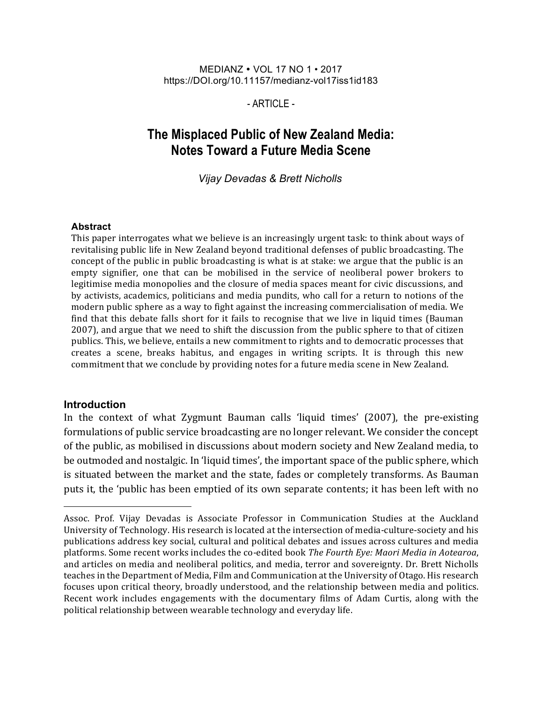#### MEDIANZ • VOL 17 NO 1 • 2017 https://DOI.org/10.11157/medianz-vol17iss1id183

 $-$  ARTICLE $-$ 

# **The Misplaced Public of New Zealand Media: Notes Toward a Future Media Scene**

*Vijay Devadas & Brett Nicholls*

#### **Abstract**

This paper interrogates what we believe is an increasingly urgent task: to think about ways of revitalising public life in New Zealand beyond traditional defenses of public broadcasting. The concept of the public in public broadcasting is what is at stake: we argue that the public is an empty signifier, one that can be mobilised in the service of neoliberal power brokers to legitimise media monopolies and the closure of media spaces meant for civic discussions, and by activists, academics, politicians and media pundits, who call for a return to notions of the modern public sphere as a way to fight against the increasing commercialisation of media. We find that this debate falls short for it fails to recognise that we live in liquid times (Bauman 2007), and argue that we need to shift the discussion from the public sphere to that of citizen publics. This, we believe, entails a new commitment to rights and to democratic processes that creates a scene, breaks habitus, and engages in writing scripts. It is through this new commitment that we conclude by providing notes for a future media scene in New Zealand.

#### **Introduction**

l

In the context of what Zygmunt Bauman calls 'liquid times' (2007), the pre-existing formulations of public service broadcasting are no longer relevant. We consider the concept of the public, as mobilised in discussions about modern society and New Zealand media, to be outmoded and nostalgic. In 'liquid times', the important space of the public sphere, which is situated between the market and the state, fades or completely transforms. As Bauman puts it, the 'public has been emptied of its own separate contents; it has been left with no

Assoc. Prof. Vijay Devadas is Associate Professor in Communication Studies at the Auckland University of Technology. His research is located at the intersection of media-culture-society and his publications address key social, cultural and political debates and issues across cultures and media platforms. Some recent works includes the co-edited book *The Fourth Eye: Maori Media in Aotearoa*, and articles on media and neoliberal politics, and media, terror and sovereignty. Dr. Brett Nicholls teaches in the Department of Media, Film and Communication at the University of Otago. His research focuses upon critical theory, broadly understood, and the relationship between media and politics. Recent work includes engagements with the documentary films of Adam Curtis, along with the political relationship between wearable technology and everyday life.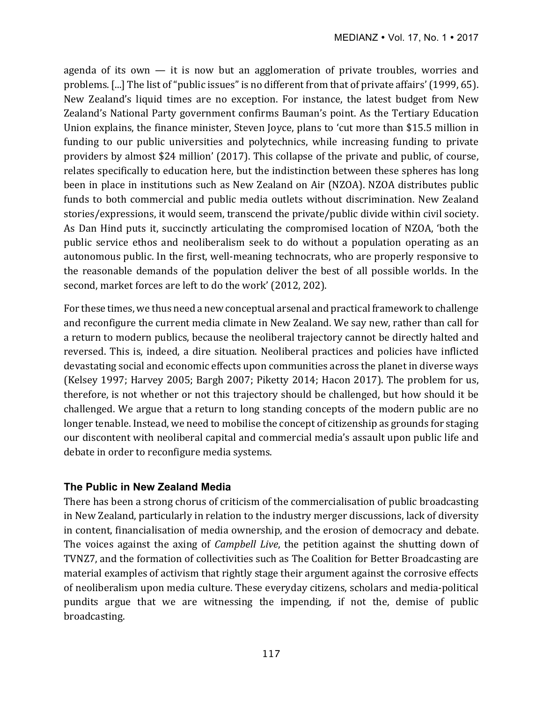agenda of its own  $-$  it is now but an agglomeration of private troubles, worries and problems. [...] The list of "public issues" is no different from that of private affairs' (1999, 65). New Zealand's liquid times are no exception. For instance, the latest budget from New Zealand's National Party government confirms Bauman's point. As the Tertiary Education Union explains, the finance minister, Steven Joyce, plans to 'cut more than \$15.5 million in funding to our public universities and polytechnics, while increasing funding to private providers by almost \$24 million' (2017). This collapse of the private and public, of course, relates specifically to education here, but the indistinction between these spheres has long been in place in institutions such as New Zealand on Air (NZOA). NZOA distributes public funds to both commercial and public media outlets without discrimination. New Zealand stories/expressions, it would seem, transcend the private/public divide within civil society. As Dan Hind puts it, succinctly articulating the compromised location of NZOA, 'both the public service ethos and neoliberalism seek to do without a population operating as an autonomous public. In the first, well-meaning technocrats, who are properly responsive to the reasonable demands of the population deliver the best of all possible worlds. In the second, market forces are left to do the work' (2012, 202).

For these times, we thus need a new conceptual arsenal and practical framework to challenge and reconfigure the current media climate in New Zealand. We say new, rather than call for a return to modern publics, because the neoliberal trajectory cannot be directly halted and reversed. This is, indeed, a dire situation. Neoliberal practices and policies have inflicted devastating social and economic effects upon communities across the planet in diverse ways (Kelsey 1997; Harvey 2005; Bargh 2007; Piketty 2014; Hacon 2017). The problem for us, therefore, is not whether or not this trajectory should be challenged, but how should it be challenged. We argue that a return to long standing concepts of the modern public are no longer tenable. Instead, we need to mobilise the concept of citizenship as grounds for staging our discontent with neoliberal capital and commercial media's assault upon public life and debate in order to reconfigure media systems.

# **The Public in New Zealand Media**

There has been a strong chorus of criticism of the commercialisation of public broadcasting in New Zealand, particularly in relation to the industry merger discussions, lack of diversity in content, financialisation of media ownership, and the erosion of democracy and debate. The voices against the axing of *Campbell Live*, the petition against the shutting down of TVNZ7, and the formation of collectivities such as The Coalition for Better Broadcasting are material examples of activism that rightly stage their argument against the corrosive effects of neoliberalism upon media culture. These everyday citizens, scholars and media-political pundits argue that we are witnessing the impending, if not the, demise of public broadcasting.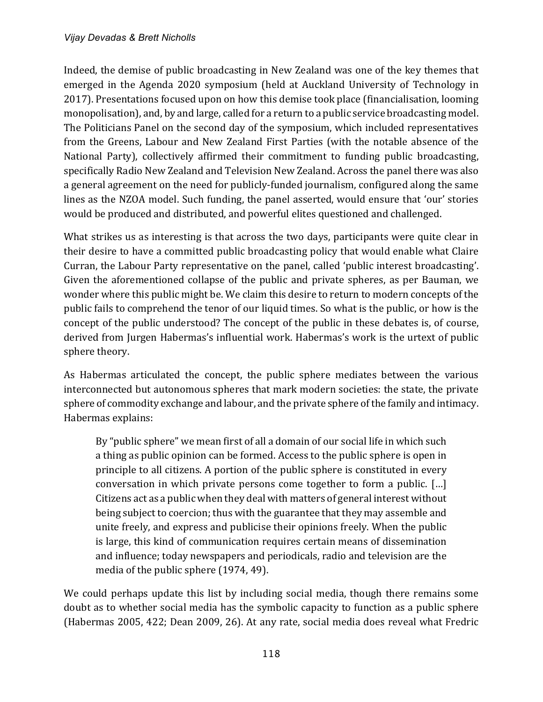Indeed, the demise of public broadcasting in New Zealand was one of the key themes that emerged in the Agenda 2020 symposium (held at Auckland University of Technology in 2017). Presentations focused upon on how this demise took place (financialisation, looming monopolisation), and, by and large, called for a return to a public service broadcasting model. The Politicians Panel on the second day of the symposium, which included representatives from the Greens, Labour and New Zealand First Parties (with the notable absence of the National Party), collectively affirmed their commitment to funding public broadcasting, specifically Radio New Zealand and Television New Zealand. Across the panel there was also a general agreement on the need for publicly-funded journalism, configured along the same lines as the NZOA model. Such funding, the panel asserted, would ensure that 'our' stories would be produced and distributed, and powerful elites questioned and challenged.

What strikes us as interesting is that across the two days, participants were quite clear in their desire to have a committed public broadcasting policy that would enable what Claire Curran, the Labour Party representative on the panel, called 'public interest broadcasting'. Given the aforementioned collapse of the public and private spheres, as per Bauman, we wonder where this public might be. We claim this desire to return to modern concepts of the public fails to comprehend the tenor of our liquid times. So what is the public, or how is the concept of the public understood? The concept of the public in these debates is, of course, derived from Jurgen Habermas's influential work. Habermas's work is the urtext of public sphere theory.

As Habermas articulated the concept, the public sphere mediates between the various interconnected but autonomous spheres that mark modern societies: the state, the private sphere of commodity exchange and labour, and the private sphere of the family and intimacy. Habermas explains:

By "public sphere" we mean first of all a domain of our social life in which such a thing as public opinion can be formed. Access to the public sphere is open in principle to all citizens. A portion of the public sphere is constituted in every conversation in which private persons come together to form a public.  $[\dots]$ Citizens act as a public when they deal with matters of general interest without being subject to coercion; thus with the guarantee that they may assemble and unite freely, and express and publicise their opinions freely. When the public is large, this kind of communication requires certain means of dissemination and influence; today newspapers and periodicals, radio and television are the media of the public sphere (1974, 49).

We could perhaps update this list by including social media, though there remains some doubt as to whether social media has the symbolic capacity to function as a public sphere (Habermas 2005, 422; Dean 2009, 26). At any rate, social media does reveal what Fredric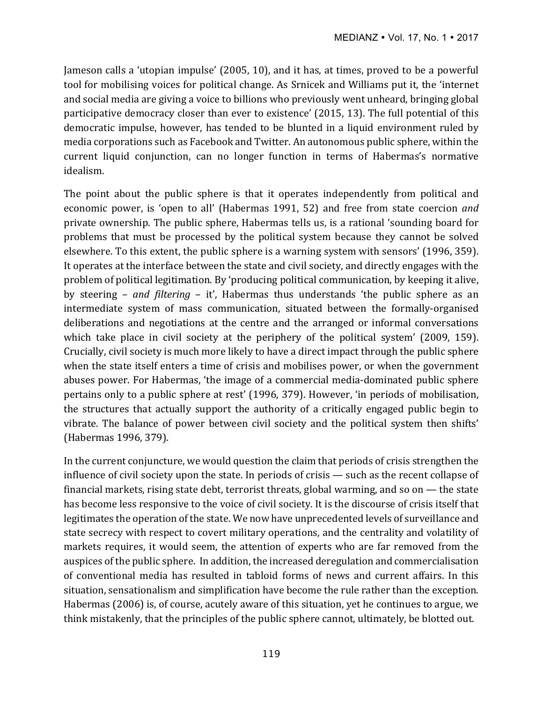Jameson calls a 'utopian impulse' (2005, 10), and it has, at times, proved to be a powerful tool for mobilising voices for political change. As Srnicek and Williams put it, the 'internet and social media are giving a voice to billions who previously went unheard, bringing global participative democracy closer than ever to existence' (2015, 13). The full potential of this democratic impulse, however, has tended to be blunted in a liquid environment ruled by media corporations such as Facebook and Twitter. An autonomous public sphere, within the current liquid conjunction, can no longer function in terms of Habermas's normative idealism. 

The point about the public sphere is that it operates independently from political and economic power, is 'open to all' (Habermas 1991, 52) and free from state coercion *and* private ownership. The public sphere, Habermas tells us, is a rational 'sounding board for problems that must be processed by the political system because they cannot be solved elsewhere. To this extent, the public sphere is a warning system with sensors' (1996, 359). It operates at the interface between the state and civil society, and directly engages with the problem of political legitimation. By 'producing political communication, by keeping it alive, by steering – *and filtering* – it', Habermas thus understands 'the public sphere as an intermediate system of mass communication, situated between the formally-organised deliberations and negotiations at the centre and the arranged or informal conversations which take place in civil society at the periphery of the political system' (2009, 159). Crucially, civil society is much more likely to have a direct impact through the public sphere when the state itself enters a time of crisis and mobilises power, or when the government abuses power. For Habermas, 'the image of a commercial media-dominated public sphere pertains only to a public sphere at rest' (1996, 379). However, 'in periods of mobilisation, the structures that actually support the authority of a critically engaged public begin to vibrate. The balance of power between civil society and the political system then shifts' (Habermas 1996, 379).

In the current conjuncture, we would question the claim that periods of crisis strengthen the influence of civil society upon the state. In periods of crisis — such as the recent collapse of financial markets, rising state debt, terrorist threats, global warming, and so on  $-$  the state has become less responsive to the voice of civil society. It is the discourse of crisis itself that legitimates the operation of the state. We now have unprecedented levels of surveillance and state secrecy with respect to covert military operations, and the centrality and volatility of markets requires, it would seem, the attention of experts who are far removed from the auspices of the public sphere. In addition, the increased deregulation and commercialisation of conventional media has resulted in tabloid forms of news and current affairs. In this situation, sensationalism and simplification have become the rule rather than the exception. Habermas (2006) is, of course, acutely aware of this situation, yet he continues to argue, we think mistakenly, that the principles of the public sphere cannot, ultimately, be blotted out.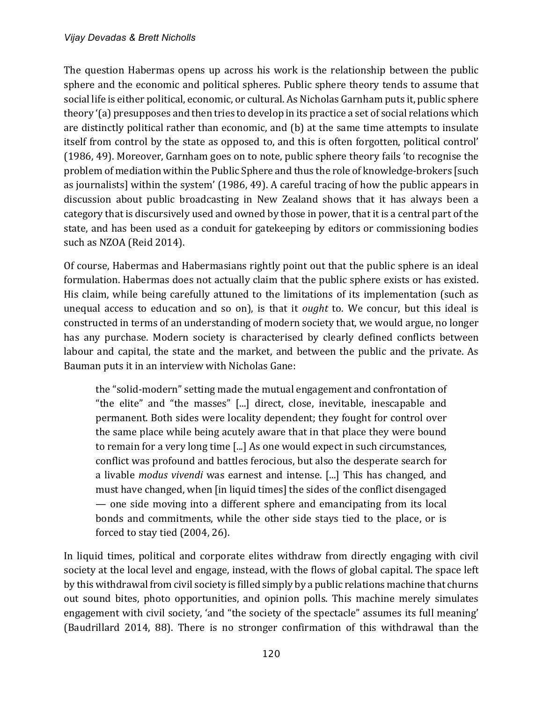The question Habermas opens up across his work is the relationship between the public sphere and the economic and political spheres. Public sphere theory tends to assume that social life is either political, economic, or cultural. As Nicholas Garnham puts it, public sphere theory '(a) presupposes and then tries to develop in its practice a set of social relations which are distinctly political rather than economic, and (b) at the same time attempts to insulate itself from control by the state as opposed to, and this is often forgotten, political control' (1986, 49). Moreover, Garnham goes on to note, public sphere theory fails 'to recognise the problem of mediation within the Public Sphere and thus the role of knowledge-brokers [such as journalists] within the system' (1986, 49). A careful tracing of how the public appears in discussion about public broadcasting in New Zealand shows that it has always been a category that is discursively used and owned by those in power, that it is a central part of the state, and has been used as a conduit for gatekeeping by editors or commissioning bodies such as NZOA (Reid 2014).

Of course, Habermas and Habermasians rightly point out that the public sphere is an ideal formulation. Habermas does not actually claim that the public sphere exists or has existed. His claim, while being carefully attuned to the limitations of its implementation (such as unequal access to education and so on), is that it *ought* to. We concur, but this ideal is constructed in terms of an understanding of modern society that, we would argue, no longer has any purchase. Modern society is characterised by clearly defined conflicts between labour and capital, the state and the market, and between the public and the private. As Bauman puts it in an interview with Nicholas Gane:

the "solid-modern" setting made the mutual engagement and confrontation of "the elite" and "the masses" [...] direct, close, inevitable, inescapable and permanent. Both sides were locality dependent; they fought for control over the same place while being acutely aware that in that place they were bound to remain for a very long time [...] As one would expect in such circumstances, conflict was profound and battles ferocious, but also the desperate search for a livable *modus vivendi* was earnest and intense. [...] This has changed, and must have changed, when [in liquid times] the sides of the conflict disengaged — one side moving into a different sphere and emancipating from its local bonds and commitments, while the other side stays tied to the place, or is forced to stay tied  $(2004, 26)$ .

In liquid times, political and corporate elites withdraw from directly engaging with civil society at the local level and engage, instead, with the flows of global capital. The space left by this withdrawal from civil society is filled simply by a public relations machine that churns out sound bites, photo opportunities, and opinion polls. This machine merely simulates engagement with civil society, 'and "the society of the spectacle" assumes its full meaning' (Baudrillard 2014, 88). There is no stronger confirmation of this withdrawal than the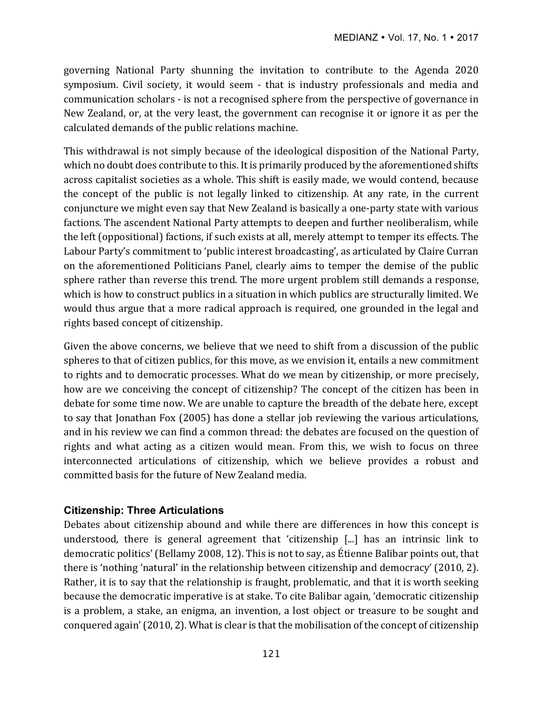governing National Party shunning the invitation to contribute to the Agenda 2020 symposium. Civil society, it would seem - that is industry professionals and media and communication scholars - is not a recognised sphere from the perspective of governance in New Zealand, or, at the very least, the government can recognise it or ignore it as per the calculated demands of the public relations machine.

This withdrawal is not simply because of the ideological disposition of the National Party, which no doubt does contribute to this. It is primarily produced by the aforementioned shifts across capitalist societies as a whole. This shift is easily made, we would contend, because the concept of the public is not legally linked to citizenship. At any rate, in the current conjuncture we might even say that New Zealand is basically a one-party state with various factions. The ascendent National Party attempts to deepen and further neoliberalism, while the left (oppositional) factions, if such exists at all, merely attempt to temper its effects. The Labour Party's commitment to 'public interest broadcasting', as articulated by Claire Curran on the aforementioned Politicians Panel, clearly aims to temper the demise of the public sphere rather than reverse this trend. The more urgent problem still demands a response, which is how to construct publics in a situation in which publics are structurally limited. We would thus argue that a more radical approach is required, one grounded in the legal and rights based concept of citizenship.

Given the above concerns, we believe that we need to shift from a discussion of the public spheres to that of citizen publics, for this move, as we envision it, entails a new commitment to rights and to democratic processes. What do we mean by citizenship, or more precisely, how are we conceiving the concept of citizenship? The concept of the citizen has been in debate for some time now. We are unable to capture the breadth of the debate here, except to say that Jonathan Fox (2005) has done a stellar job reviewing the various articulations, and in his review we can find a common thread: the debates are focused on the question of rights and what acting as a citizen would mean. From this, we wish to focus on three interconnected articulations of citizenship, which we believe provides a robust and committed basis for the future of New Zealand media.

## **Citizenship: Three Articulations**

Debates about citizenship abound and while there are differences in how this concept is understood, there is general agreement that 'citizenship  $\lceil ... \rceil$  has an intrinsic link to democratic politics' (Bellamy 2008, 12). This is not to say, as Étienne Balibar points out, that there is 'nothing 'natural' in the relationship between citizenship and democracy' (2010, 2). Rather, it is to say that the relationship is fraught, problematic, and that it is worth seeking because the democratic imperative is at stake. To cite Balibar again, 'democratic citizenship is a problem, a stake, an enigma, an invention, a lost object or treasure to be sought and conquered again' (2010, 2). What is clear is that the mobilisation of the concept of citizenship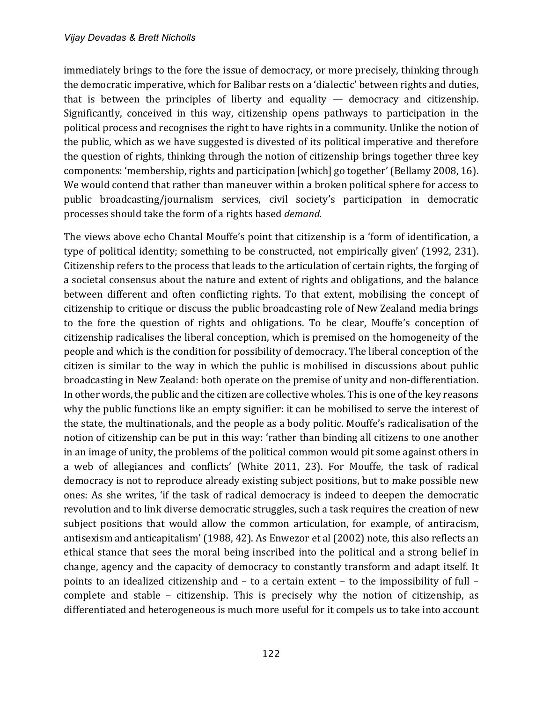immediately brings to the fore the issue of democracy, or more precisely, thinking through the democratic imperative, which for Balibar rests on a 'dialectic' between rights and duties, that is between the principles of liberty and equality  $-$  democracy and citizenship. Significantly, conceived in this way, citizenship opens pathways to participation in the political process and recognises the right to have rights in a community. Unlike the notion of the public, which as we have suggested is divested of its political imperative and therefore the question of rights, thinking through the notion of citizenship brings together three key components: 'membership, rights and participation [which] go together' (Bellamy 2008, 16). We would contend that rather than maneuver within a broken political sphere for access to public broadcasting/journalism services, civil society's participation in democratic processes should take the form of a rights based *demand*.

The views above echo Chantal Mouffe's point that citizenship is a 'form of identification, a type of political identity; something to be constructed, not empirically given' (1992, 231). Citizenship refers to the process that leads to the articulation of certain rights, the forging of a societal consensus about the nature and extent of rights and obligations, and the balance between different and often conflicting rights. To that extent, mobilising the concept of citizenship to critique or discuss the public broadcasting role of New Zealand media brings to the fore the question of rights and obligations. To be clear, Mouffe's conception of citizenship radicalises the liberal conception, which is premised on the homogeneity of the people and which is the condition for possibility of democracy. The liberal conception of the citizen is similar to the way in which the public is mobilised in discussions about public broadcasting in New Zealand: both operate on the premise of unity and non-differentiation. In other words, the public and the citizen are collective wholes. This is one of the key reasons why the public functions like an empty signifier: it can be mobilised to serve the interest of the state, the multinationals, and the people as a body politic. Mouffe's radicalisation of the notion of citizenship can be put in this way: 'rather than binding all citizens to one another in an image of unity, the problems of the political common would pit some against others in a web of allegiances and conflicts' (White 2011, 23). For Mouffe, the task of radical democracy is not to reproduce already existing subject positions, but to make possible new ones: As she writes, 'if the task of radical democracy is indeed to deepen the democratic revolution and to link diverse democratic struggles, such a task requires the creation of new subject positions that would allow the common articulation, for example, of antiracism, antisexism and anticapitalism' (1988, 42). As Enwezor et al (2002) note, this also reflects an ethical stance that sees the moral being inscribed into the political and a strong belief in change, agency and the capacity of democracy to constantly transform and adapt itself. It points to an idealized citizenship and  $-$  to a certain extent  $-$  to the impossibility of full  $$ complete and stable  $-$  citizenship. This is precisely why the notion of citizenship, as differentiated and heterogeneous is much more useful for it compels us to take into account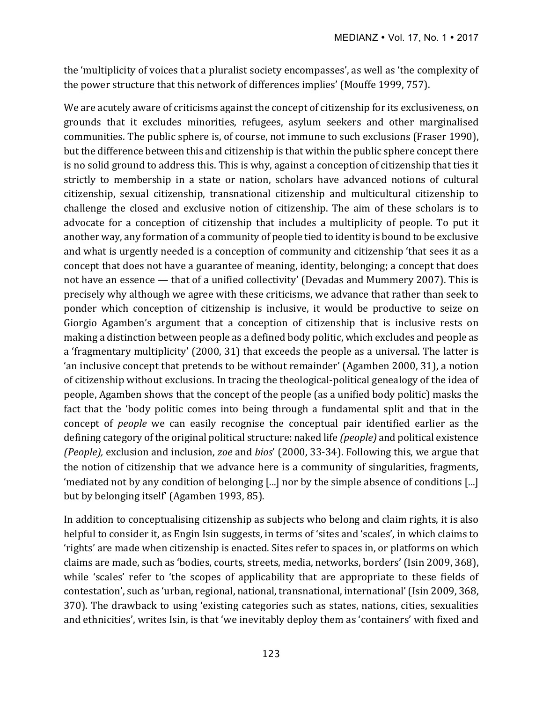the 'multiplicity of voices that a pluralist society encompasses', as well as 'the complexity of the power structure that this network of differences implies' (Mouffe 1999, 757).

We are acutely aware of criticisms against the concept of citizenship for its exclusiveness, on grounds that it excludes minorities, refugees, asylum seekers and other marginalised communities. The public sphere is, of course, not immune to such exclusions (Fraser 1990), but the difference between this and citizenship is that within the public sphere concept there is no solid ground to address this. This is why, against a conception of citizenship that ties it strictly to membership in a state or nation, scholars have advanced notions of cultural citizenship, sexual citizenship, transnational citizenship and multicultural citizenship to challenge the closed and exclusive notion of citizenship. The aim of these scholars is to advocate for a conception of citizenship that includes a multiplicity of people. To put it another way, any formation of a community of people tied to identity is bound to be exclusive and what is urgently needed is a conception of community and citizenship 'that sees it as a concept that does not have a guarantee of meaning, identity, belonging; a concept that does not have an essence  $-$  that of a unified collectivity' (Devadas and Mummery 2007). This is precisely why although we agree with these criticisms, we advance that rather than seek to ponder which conception of citizenship is inclusive, it would be productive to seize on Giorgio Agamben's argument that a conception of citizenship that is inclusive rests on making a distinction between people as a defined body politic, which excludes and people as a 'fragmentary multiplicity' (2000, 31) that exceeds the people as a universal. The latter is 'an inclusive concept that pretends to be without remainder' (Agamben 2000, 31), a notion of citizenship without exclusions. In tracing the theological-political genealogy of the idea of people, Agamben shows that the concept of the people (as a unified body politic) masks the fact that the 'body politic comes into being through a fundamental split and that in the concept of *people* we can easily recognise the conceptual pair identified earlier as the defining category of the original political structure: naked life (people) and political existence *(People),* exclusion and inclusion, zoe and bios' (2000, 33-34). Following this, we argue that the notion of citizenship that we advance here is a community of singularities, fragments, 'mediated not by any condition of belonging  $\left[\ldots\right]$  nor by the simple absence of conditions  $\left[\ldots\right]$ but by belonging itself' (Agamben 1993, 85).

In addition to conceptualising citizenship as subjects who belong and claim rights, it is also helpful to consider it, as Engin Isin suggests, in terms of 'sites and 'scales', in which claims to 'rights' are made when citizenship is enacted. Sites refer to spaces in, or platforms on which claims are made, such as 'bodies, courts, streets, media, networks, borders' (Isin 2009, 368), while 'scales' refer to 'the scopes of applicability that are appropriate to these fields of contestation', such as 'urban, regional, national, transnational, international' (Isin 2009, 368, 370). The drawback to using 'existing categories such as states, nations, cities, sexualities and ethnicities', writes Isin, is that 'we inevitably deploy them as 'containers' with fixed and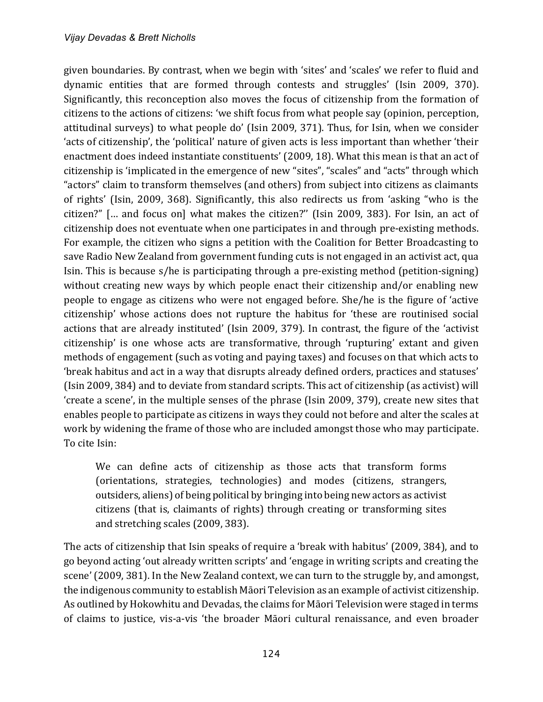given boundaries. By contrast, when we begin with 'sites' and 'scales' we refer to fluid and dynamic entities that are formed through contests and struggles' (Isin 2009, 370). Significantly, this reconception also moves the focus of citizenship from the formation of citizens to the actions of citizens: 'we shift focus from what people say (opinion, perception, attitudinal surveys) to what people do' (Isin 2009, 371). Thus, for Isin, when we consider 'acts of citizenship', the 'political' nature of given acts is less important than whether 'their enactment does indeed instantiate constituents' (2009, 18). What this mean is that an act of citizenship is 'implicated in the emergence of new "sites", "scales" and "acts" through which "actors" claim to transform themselves (and others) from subject into citizens as claimants of rights' (Isin, 2009, 368). Significantly, this also redirects us from 'asking "who is the citizen?" [... and focus on] what makes the citizen?" (Isin 2009, 383). For Isin, an act of citizenship does not eventuate when one participates in and through pre-existing methods. For example, the citizen who signs a petition with the Coalition for Better Broadcasting to save Radio New Zealand from government funding cuts is not engaged in an activist act, qua Isin. This is because s/he is participating through a pre-existing method (petition-signing) without creating new ways by which people enact their citizenship and/or enabling new people to engage as citizens who were not engaged before. She/he is the figure of 'active citizenship' whose actions does not rupture the habitus for 'these are routinised social actions that are already instituted' (Isin 2009, 379). In contrast, the figure of the 'activist citizenship' is one whose acts are transformative, through 'rupturing' extant and given methods of engagement (such as voting and paying taxes) and focuses on that which acts to 'break habitus and act in a way that disrupts already defined orders, practices and statuses' (Isin 2009, 384) and to deviate from standard scripts. This act of citizenship (as activist) will 'create a scene', in the multiple senses of the phrase (Isin 2009, 379), create new sites that enables people to participate as citizens in ways they could not before and alter the scales at work by widening the frame of those who are included amongst those who may participate. To cite Isin:

We can define acts of citizenship as those acts that transform forms (orientations, strategies, technologies) and modes (citizens, strangers, outsiders, aliens) of being political by bringing into being new actors as activist citizens (that is, claimants of rights) through creating or transforming sites and stretching scales (2009, 383).

The acts of citizenship that Isin speaks of require a 'break with habitus' (2009, 384), and to go beyond acting 'out already written scripts' and 'engage in writing scripts and creating the scene' (2009, 381). In the New Zealand context, we can turn to the struggle by, and amongst, the indigenous community to establish Māori Television as an example of activist citizenship. As outlined by Hokowhitu and Devadas, the claims for Māori Television were staged in terms of claims to justice, vis-a-vis 'the broader Māori cultural renaissance, and even broader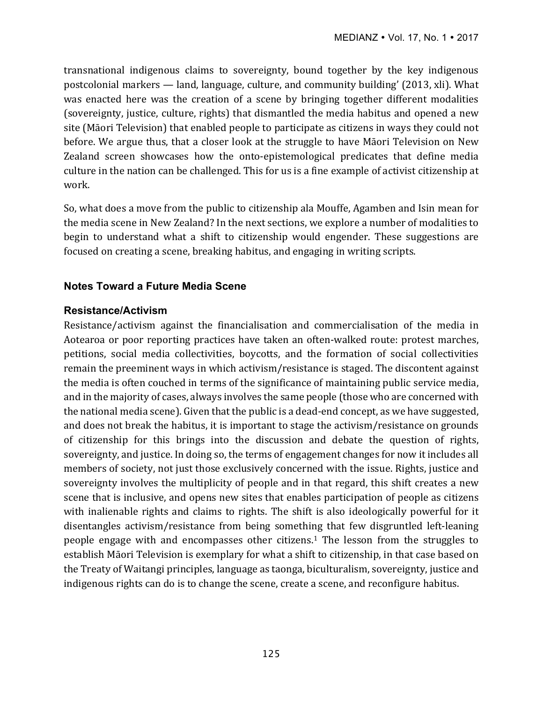transnational indigenous claims to sovereignty, bound together by the key indigenous postcolonial markers — land, language, culture, and community building' (2013, xli). What was enacted here was the creation of a scene by bringing together different modalities (sovereignty, justice, culture, rights) that dismantled the media habitus and opened a new site (Māori Television) that enabled people to participate as citizens in ways they could not before. We argue thus, that a closer look at the struggle to have Māori Television on New Zealand screen showcases how the onto-epistemological predicates that define media culture in the nation can be challenged. This for us is a fine example of activist citizenship at work.

So, what does a move from the public to citizenship ala Mouffe, Agamben and Isin mean for the media scene in New Zealand? In the next sections, we explore a number of modalities to begin to understand what a shift to citizenship would engender. These suggestions are focused on creating a scene, breaking habitus, and engaging in writing scripts.

# **Notes Toward a Future Media Scene**

## **Resistance/Activism**

Resistance/activism against the financialisation and commercialisation of the media in Aotearoa or poor reporting practices have taken an often-walked route: protest marches, petitions, social media collectivities, boycotts, and the formation of social collectivities remain the preeminent ways in which activism/resistance is staged. The discontent against the media is often couched in terms of the significance of maintaining public service media, and in the majority of cases, always involves the same people (those who are concerned with the national media scene). Given that the public is a dead-end concept, as we have suggested, and does not break the habitus, it is important to stage the activism/resistance on grounds of citizenship for this brings into the discussion and debate the question of rights, sovereignty, and justice. In doing so, the terms of engagement changes for now it includes all members of society, not just those exclusively concerned with the issue. Rights, justice and sovereignty involves the multiplicity of people and in that regard, this shift creates a new scene that is inclusive, and opens new sites that enables participation of people as citizens with inalienable rights and claims to rights. The shift is also ideologically powerful for it disentangles activism/resistance from being something that few disgruntled left-leaning people engage with and encompasses other citizens.<sup>1</sup> The lesson from the struggles to establish Māori Television is exemplary for what a shift to citizenship, in that case based on the Treaty of Waitangi principles, language as taonga, biculturalism, sovereignty, justice and indigenous rights can do is to change the scene, create a scene, and reconfigure habitus.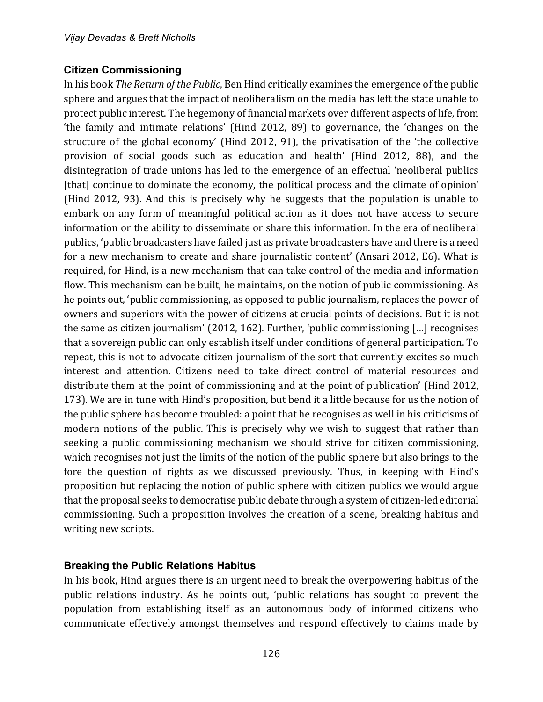## **Citizen Commissioning**

In his book *The Return of the Public*, Ben Hind critically examines the emergence of the public sphere and argues that the impact of neoliberalism on the media has left the state unable to protect public interest. The hegemony of financial markets over different aspects of life, from 'the family and intimate relations' (Hind 2012, 89) to governance, the 'changes on the structure of the global economy' (Hind 2012, 91), the privatisation of the 'the collective provision of social goods such as education and health' (Hind 2012, 88), and the disintegration of trade unions has led to the emergence of an effectual 'neoliberal publics [that] continue to dominate the economy, the political process and the climate of opinion' (Hind 2012, 93). And this is precisely why he suggests that the population is unable to embark on any form of meaningful political action as it does not have access to secure information or the ability to disseminate or share this information. In the era of neoliberal publics, 'public broadcasters have failed just as private broadcasters have and there is a need for a new mechanism to create and share journalistic content' (Ansari 2012, E6). What is required, for Hind, is a new mechanism that can take control of the media and information flow. This mechanism can be built, he maintains, on the notion of public commissioning. As he points out, 'public commissioning, as opposed to public journalism, replaces the power of owners and superiors with the power of citizens at crucial points of decisions. But it is not the same as citizen journalism' (2012, 162). Further, 'public commissioning  $\left[ \ldots \right]$  recognises that a sovereign public can only establish itself under conditions of general participation. To repeat, this is not to advocate citizen journalism of the sort that currently excites so much interest and attention. Citizens need to take direct control of material resources and distribute them at the point of commissioning and at the point of publication' (Hind 2012, 173). We are in tune with Hind's proposition, but bend it a little because for us the notion of the public sphere has become troubled: a point that he recognises as well in his criticisms of modern notions of the public. This is precisely why we wish to suggest that rather than seeking a public commissioning mechanism we should strive for citizen commissioning, which recognises not just the limits of the notion of the public sphere but also brings to the fore the question of rights as we discussed previously. Thus, in keeping with Hind's proposition but replacing the notion of public sphere with citizen publics we would argue that the proposal seeks to democratise public debate through a system of citizen-led editorial commissioning. Such a proposition involves the creation of a scene, breaking habitus and writing new scripts.

# **Breaking the Public Relations Habitus**

In his book, Hind argues there is an urgent need to break the overpowering habitus of the public relations industry. As he points out, 'public relations has sought to prevent the population from establishing itself as an autonomous body of informed citizens who communicate effectively amongst themselves and respond effectively to claims made by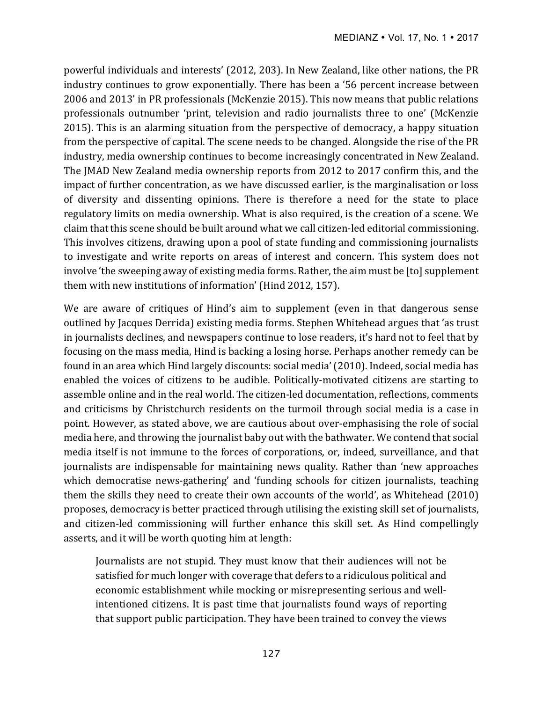powerful individuals and interests' (2012, 203). In New Zealand, like other nations, the PR industry continues to grow exponentially. There has been a '56 percent increase between 2006 and 2013' in PR professionals (McKenzie 2015). This now means that public relations professionals outnumber 'print, television and radio journalists three to one' (McKenzie 2015). This is an alarming situation from the perspective of democracy, a happy situation from the perspective of capital. The scene needs to be changed. Alongside the rise of the PR industry, media ownership continues to become increasingly concentrated in New Zealand. The JMAD New Zealand media ownership reports from 2012 to 2017 confirm this, and the impact of further concentration, as we have discussed earlier, is the marginalisation or loss of diversity and dissenting opinions. There is therefore a need for the state to place regulatory limits on media ownership. What is also required, is the creation of a scene. We claim that this scene should be built around what we call citizen-led editorial commissioning. This involves citizens, drawing upon a pool of state funding and commissioning journalists to investigate and write reports on areas of interest and concern. This system does not involve 'the sweeping away of existing media forms. Rather, the aim must be [to] supplement them with new institutions of information' (Hind 2012, 157).

We are aware of critiques of Hind's aim to supplement (even in that dangerous sense outlined by Jacques Derrida) existing media forms. Stephen Whitehead argues that 'as trust in journalists declines, and newspapers continue to lose readers, it's hard not to feel that by focusing on the mass media, Hind is backing a losing horse. Perhaps another remedy can be found in an area which Hind largely discounts: social media' (2010). Indeed, social media has enabled the voices of citizens to be audible. Politically-motivated citizens are starting to assemble online and in the real world. The citizen-led documentation, reflections, comments and criticisms by Christchurch residents on the turmoil through social media is a case in point. However, as stated above, we are cautious about over-emphasising the role of social media here, and throwing the journalist baby out with the bathwater. We contend that social media itself is not immune to the forces of corporations, or, indeed, surveillance, and that journalists are indispensable for maintaining news quality. Rather than 'new approaches which democratise news-gathering' and 'funding schools for citizen journalists, teaching them the skills they need to create their own accounts of the world', as Whitehead  $(2010)$ proposes, democracy is better practiced through utilising the existing skill set of journalists, and citizen-led commissioning will further enhance this skill set. As Hind compellingly asserts, and it will be worth quoting him at length:

Journalists are not stupid. They must know that their audiences will not be satisfied for much longer with coverage that defers to a ridiculous political and economic establishment while mocking or misrepresenting serious and wellintentioned citizens. It is past time that journalists found ways of reporting that support public participation. They have been trained to convey the views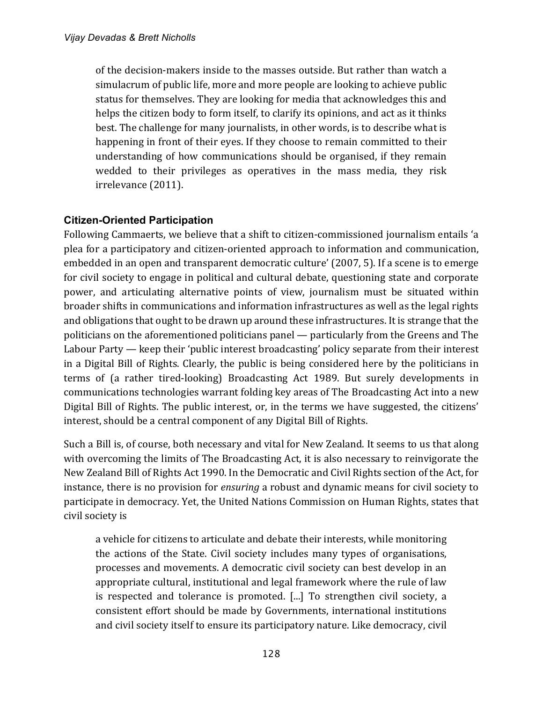of the decision-makers inside to the masses outside. But rather than watch a simulacrum of public life, more and more people are looking to achieve public status for themselves. They are looking for media that acknowledges this and helps the citizen body to form itself, to clarify its opinions, and act as it thinks best. The challenge for many journalists, in other words, is to describe what is happening in front of their eyes. If they choose to remain committed to their understanding of how communications should be organised, if they remain wedded to their privileges as operatives in the mass media, they risk irrelevance (2011).

## **Citizen-Oriented Participation**

Following Cammaerts, we believe that a shift to citizen-commissioned journalism entails 'a plea for a participatory and citizen-oriented approach to information and communication, embedded in an open and transparent democratic culture' (2007, 5). If a scene is to emerge for civil society to engage in political and cultural debate, questioning state and corporate power, and articulating alternative points of view, journalism must be situated within broader shifts in communications and information infrastructures as well as the legal rights and obligations that ought to be drawn up around these infrastructures. It is strange that the politicians on the aforementioned politicians panel — particularly from the Greens and The Labour Party  $-$  keep their 'public interest broadcasting' policy separate from their interest in a Digital Bill of Rights. Clearly, the public is being considered here by the politicians in terms of (a rather tired-looking) Broadcasting Act 1989. But surely developments in communications technologies warrant folding key areas of The Broadcasting Act into a new Digital Bill of Rights. The public interest, or, in the terms we have suggested, the citizens' interest, should be a central component of any Digital Bill of Rights.

Such a Bill is, of course, both necessary and vital for New Zealand. It seems to us that along with overcoming the limits of The Broadcasting Act, it is also necessary to reinvigorate the New Zealand Bill of Rights Act 1990. In the Democratic and Civil Rights section of the Act, for instance, there is no provision for *ensuring* a robust and dynamic means for civil society to participate in democracy. Yet, the United Nations Commission on Human Rights, states that civil society is

a vehicle for citizens to articulate and debate their interests, while monitoring the actions of the State. Civil society includes many types of organisations, processes and movements. A democratic civil society can best develop in an appropriate cultural, institutional and legal framework where the rule of law is respected and tolerance is promoted. [...] To strengthen civil society, a consistent effort should be made by Governments, international institutions and civil society itself to ensure its participatory nature. Like democracy, civil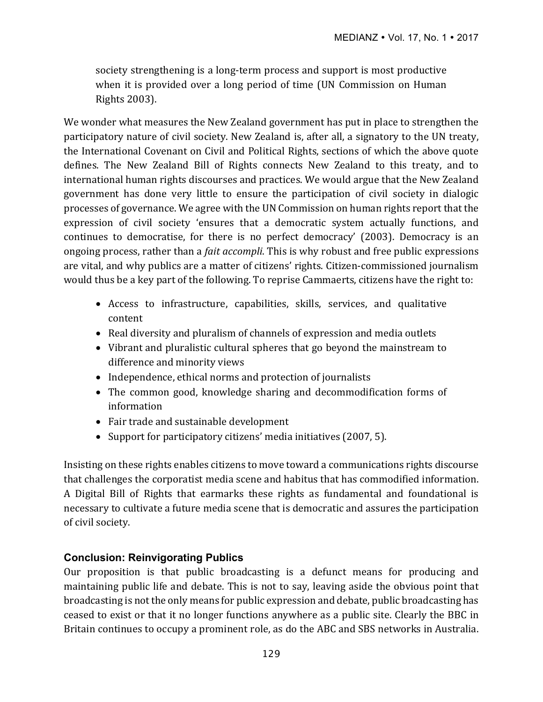society strengthening is a long-term process and support is most productive when it is provided over a long period of time (UN Commission on Human Rights 2003). 

We wonder what measures the New Zealand government has put in place to strengthen the participatory nature of civil society. New Zealand is, after all, a signatory to the UN treaty, the International Covenant on Civil and Political Rights, sections of which the above quote defines. The New Zealand Bill of Rights connects New Zealand to this treaty, and to international human rights discourses and practices. We would argue that the New Zealand government has done very little to ensure the participation of civil society in dialogic processes of governance. We agree with the UN Commission on human rights report that the expression of civil society 'ensures that a democratic system actually functions, and continues to democratise, for there is no perfect democracy' (2003). Democracy is an ongoing process, rather than a *fait accompli*. This is why robust and free public expressions are vital, and why publics are a matter of citizens' rights. Citizen-commissioned journalism would thus be a key part of the following. To reprise Cammaerts, citizens have the right to:

- Access to infrastructure, capabilities, skills, services, and qualitative content
- Real diversity and pluralism of channels of expression and media outlets
- Vibrant and pluralistic cultural spheres that go beyond the mainstream to difference and minority views
- Independence, ethical norms and protection of journalists
- The common good, knowledge sharing and decommodification forms of information
- Fair trade and sustainable development
- Support for participatory citizens' media initiatives  $(2007, 5)$ .

Insisting on these rights enables citizens to move toward a communications rights discourse that challenges the corporatist media scene and habitus that has commodified information. A Digital Bill of Rights that earmarks these rights as fundamental and foundational is necessary to cultivate a future media scene that is democratic and assures the participation of civil society.

# **Conclusion: Reinvigorating Publics**

Our proposition is that public broadcasting is a defunct means for producing and maintaining public life and debate. This is not to say, leaving aside the obvious point that broadcasting is not the only means for public expression and debate, public broadcasting has ceased to exist or that it no longer functions anywhere as a public site. Clearly the BBC in Britain continues to occupy a prominent role, as do the ABC and SBS networks in Australia.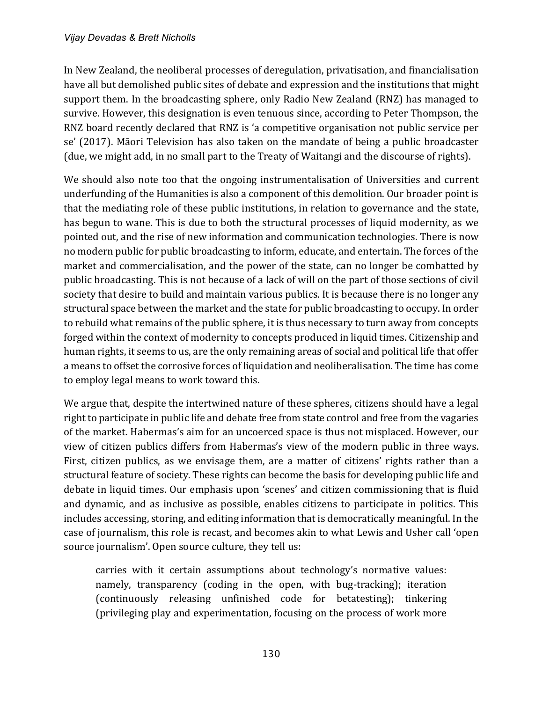In New Zealand, the neoliberal processes of deregulation, privatisation, and financialisation have all but demolished public sites of debate and expression and the institutions that might support them. In the broadcasting sphere, only Radio New Zealand (RNZ) has managed to survive. However, this designation is even tenuous since, according to Peter Thompson, the RNZ board recently declared that RNZ is 'a competitive organisation not public service per se' (2017). Māori Television has also taken on the mandate of being a public broadcaster (due, we might add, in no small part to the Treaty of Waitangi and the discourse of rights).

We should also note too that the ongoing instrumentalisation of Universities and current underfunding of the Humanities is also a component of this demolition. Our broader point is that the mediating role of these public institutions, in relation to governance and the state, has begun to wane. This is due to both the structural processes of liquid modernity, as we pointed out, and the rise of new information and communication technologies. There is now no modern public for public broadcasting to inform, educate, and entertain. The forces of the market and commercialisation, and the power of the state, can no longer be combatted by public broadcasting. This is not because of a lack of will on the part of those sections of civil society that desire to build and maintain various publics. It is because there is no longer any structural space between the market and the state for public broadcasting to occupy. In order to rebuild what remains of the public sphere, it is thus necessary to turn away from concepts forged within the context of modernity to concepts produced in liquid times. Citizenship and human rights, it seems to us, are the only remaining areas of social and political life that offer a means to offset the corrosive forces of liquidation and neoliberalisation. The time has come to employ legal means to work toward this.

We argue that, despite the intertwined nature of these spheres, citizens should have a legal right to participate in public life and debate free from state control and free from the vagaries of the market. Habermas's aim for an uncoerced space is thus not misplaced. However, our view of citizen publics differs from Habermas's view of the modern public in three ways. First, citizen publics, as we envisage them, are a matter of citizens' rights rather than a structural feature of society. These rights can become the basis for developing public life and debate in liquid times. Our emphasis upon 'scenes' and citizen commissioning that is fluid and dynamic, and as inclusive as possible, enables citizens to participate in politics. This includes accessing, storing, and editing information that is democratically meaningful. In the case of journalism, this role is recast, and becomes akin to what Lewis and Usher call 'open source journalism'. Open source culture, they tell us:

carries with it certain assumptions about technology's normative values: namely, transparency (coding in the open, with bug-tracking); iteration (continuously releasing unfinished code for betatesting); tinkering (privileging play and experimentation, focusing on the process of work more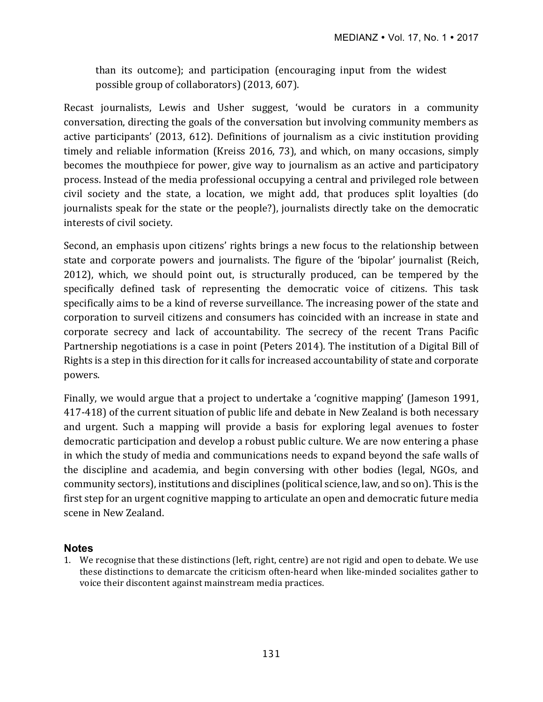than its outcome); and participation (encouraging input from the widest possible group of collaborators) (2013, 607).

Recast journalists, Lewis and Usher suggest, 'would be curators in a community conversation, directing the goals of the conversation but involving community members as active participants' (2013, 612). Definitions of journalism as a civic institution providing timely and reliable information (Kreiss 2016, 73), and which, on many occasions, simply becomes the mouthpiece for power, give way to journalism as an active and participatory process. Instead of the media professional occupying a central and privileged role between civil society and the state, a location, we might add, that produces split loyalties (do journalists speak for the state or the people?), journalists directly take on the democratic interests of civil society.

Second, an emphasis upon citizens' rights brings a new focus to the relationship between state and corporate powers and journalists. The figure of the 'bipolar' journalist (Reich, 2012), which, we should point out, is structurally produced, can be tempered by the specifically defined task of representing the democratic voice of citizens. This task specifically aims to be a kind of reverse surveillance. The increasing power of the state and corporation to surveil citizens and consumers has coincided with an increase in state and corporate secrecy and lack of accountability. The secrecy of the recent Trans Pacific Partnership negotiations is a case in point (Peters 2014). The institution of a Digital Bill of Rights is a step in this direction for it calls for increased accountability of state and corporate powers.

Finally, we would argue that a project to undertake a 'cognitive mapping' (Jameson 1991, 417-418) of the current situation of public life and debate in New Zealand is both necessary and urgent. Such a mapping will provide a basis for exploring legal avenues to foster democratic participation and develop a robust public culture. We are now entering a phase in which the study of media and communications needs to expand beyond the safe walls of the discipline and academia, and begin conversing with other bodies (legal, NGOs, and community sectors), institutions and disciplines (political science, law, and so on). This is the first step for an urgent cognitive mapping to articulate an open and democratic future media scene in New Zealand.

## **Notes**

1. We recognise that these distinctions (left, right, centre) are not rigid and open to debate. We use these distinctions to demarcate the criticism often-heard when like-minded socialites gather to voice their discontent against mainstream media practices.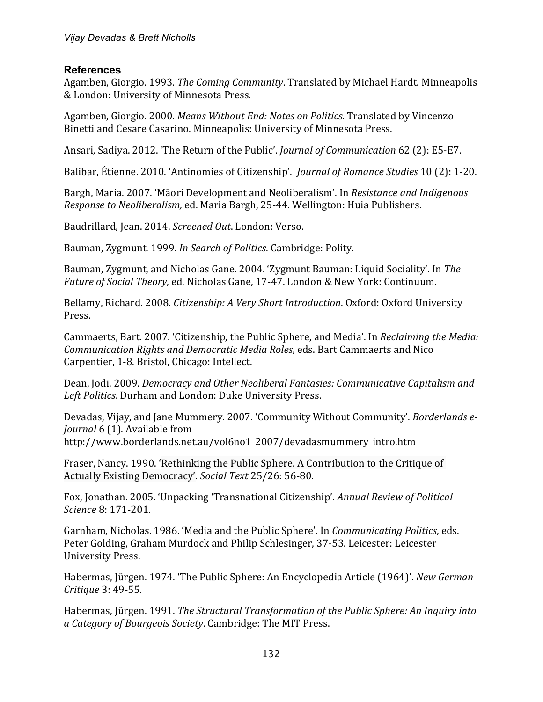## **References**

Agamben, Giorgio. 1993. *The Coming Community*. Translated by Michael Hardt. Minneapolis & London: University of Minnesota Press.

Agamben, Giorgio. 2000. *Means Without End: Notes on Politics*. Translated by Vincenzo Binetti and Cesare Casarino. Minneapolis: University of Minnesota Press.

Ansari, Sadiya. 2012. 'The Return of the Public'. *Journal of Communication* 62 (2): E5-E7.

Balibar, Étienne. 2010. 'Antinomies of Citizenship'. *Journal of Romance Studies* 10 (2): 1-20.

Bargh, Maria. 2007. 'Māori Development and Neoliberalism'. In *Resistance and Indigenous Response to Neoliberalism, ed. Maria Bargh, 25-44.* Wellington: Huia Publishers.

Baudrillard, Jean. 2014. *Screened Out*. London: Verso.

Bauman, Zygmunt. 1999. In Search of Politics. Cambridge: Polity.

Bauman, Zygmunt, and Nicholas Gane. 2004. 'Zygmunt Bauman: Liquid Sociality'. In *The Future of Social Theory*, ed. Nicholas Gane, 17-47. London & New York: Continuum.

Bellamy, Richard. 2008. *Citizenship: A Very Short Introduction*. Oxford: Oxford University Press.

Cammaerts, Bart. 2007. 'Citizenship, the Public Sphere, and Media'. In *Reclaiming the Media: Communication Rights and Democratic Media Roles*, eds. Bart Cammaerts and Nico Carpentier, 1-8. Bristol, Chicago: Intellect.

Dean, Jodi. 2009. *Democracy and Other Neoliberal Fantasies: Communicative Capitalism and* Left Politics. Durham and London: Duke University Press.

Devadas, Vijay, and Jane Mummery. 2007. 'Community Without Community'. *Borderlands e-Journal* 6 (1). Available from http://www.borderlands.net.au/vol6no1\_2007/devadasmummery\_intro.htm

Fraser, Nancy. 1990. 'Rethinking the Public Sphere. A Contribution to the Critique of Actually Existing Democracy'. Social Text 25/26: 56-80.

Fox, Jonathan. 2005. 'Unpacking 'Transnational Citizenship'. Annual Review of Political *Science* 8: 171-201.

Garnham, Nicholas. 1986. 'Media and the Public Sphere'. In *Communicating Politics*, eds. Peter Golding, Graham Murdock and Philip Schlesinger, 37-53. Leicester: Leicester University Press.

Habermas, Jürgen. 1974. 'The Public Sphere: An Encyclopedia Article (1964)'. *New German Critique* 3: 49-55.

Habermas, Jürgen. 1991. *The Structural Transformation of the Public Sphere: An Inquiry into a Category of Bourgeois Society*. Cambridge: The MIT Press.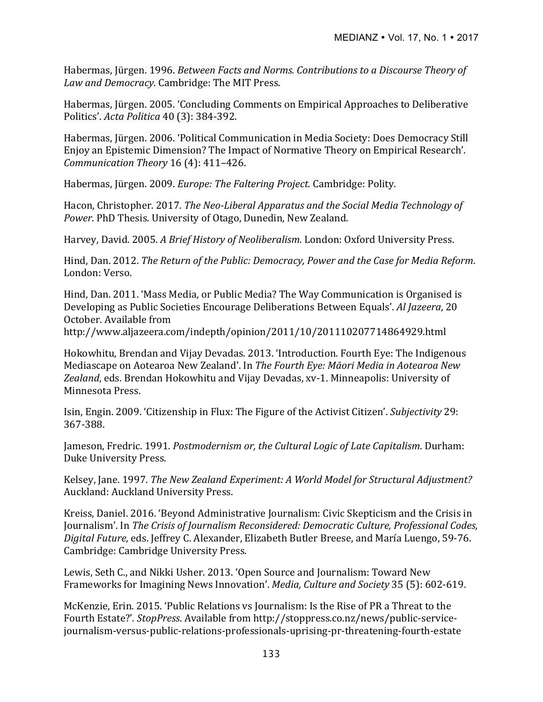Habermas, Jürgen. 1996. *Between Facts and Norms. Contributions to a Discourse Theory of* Law and Democracy. Cambridge: The MIT Press.

Habermas, Jürgen. 2005. 'Concluding Comments on Empirical Approaches to Deliberative Politics'. *Acta Politica* 40 (3): 384-392.

Habermas, Jürgen. 2006. 'Political Communication in Media Society: Does Democracy Still Enjoy an Epistemic Dimension? The Impact of Normative Theory on Empirical Research'. *Communication Theory* 16 (4): 411-426.

Habermas, Jürgen. 2009. *Europe: The Faltering Project.* Cambridge: Polity.

Hacon, Christopher. 2017. *The Neo-Liberal Apparatus and the Social Media Technology of* Power. PhD Thesis. University of Otago, Dunedin, New Zealand.

Harvey, David. 2005. A Brief History of Neoliberalism. London: Oxford University Press.

Hind, Dan. 2012. *The Return of the Public: Democracy, Power and the Case for Media Reform.* London: Verso.

Hind, Dan. 2011. 'Mass Media, or Public Media? The Way Communication is Organised is Developing as Public Societies Encourage Deliberations Between Equals'. Al Jazeera, 20 October. Available from

http://www.aljazeera.com/indepth/opinion/2011/10/201110207714864929.html 

Hokowhitu, Brendan and Vijay Devadas. 2013. 'Introduction. Fourth Eye: The Indigenous Mediascape on Aotearoa New Zealand'. In The Fourth Eye: Māori Media in Aotearoa New Zealand, eds. Brendan Hokowhitu and Vijay Devadas, xv-1. Minneapolis: University of Minnesota Press.

Isin, Engin. 2009. 'Citizenship in Flux: The Figure of the Activist Citizen'. *Subjectivity* 29: 367-388.

Jameson, Fredric. 1991. *Postmodernism or, the Cultural Logic of Late Capitalism*. Durham: Duke University Press.

Kelsey, Jane. 1997. *The New Zealand Experiment: A World Model for Structural Adjustment?* Auckland: Auckland University Press.

Kreiss, Daniel. 2016. 'Beyond Administrative Journalism: Civic Skepticism and the Crisis in Journalism'. In *The Crisis of Journalism Reconsidered: Democratic Culture, Professional Codes,* Digital Future, eds. Jeffrey C. Alexander, Elizabeth Butler Breese, and María Luengo, 59-76. Cambridge: Cambridge University Press.

Lewis, Seth C., and Nikki Usher. 2013. 'Open Source and Journalism: Toward New Frameworks for Imagining News Innovation'. *Media, Culture and Society* 35 (5): 602-619.

McKenzie, Erin. 2015. 'Public Relations vs Journalism: Is the Rise of PR a Threat to the Fourth Estate?'. *StopPress*. Available from http://stoppress.co.nz/news/public-servicejournalism-versus-public-relations-professionals-uprising-pr-threatening-fourth-estate